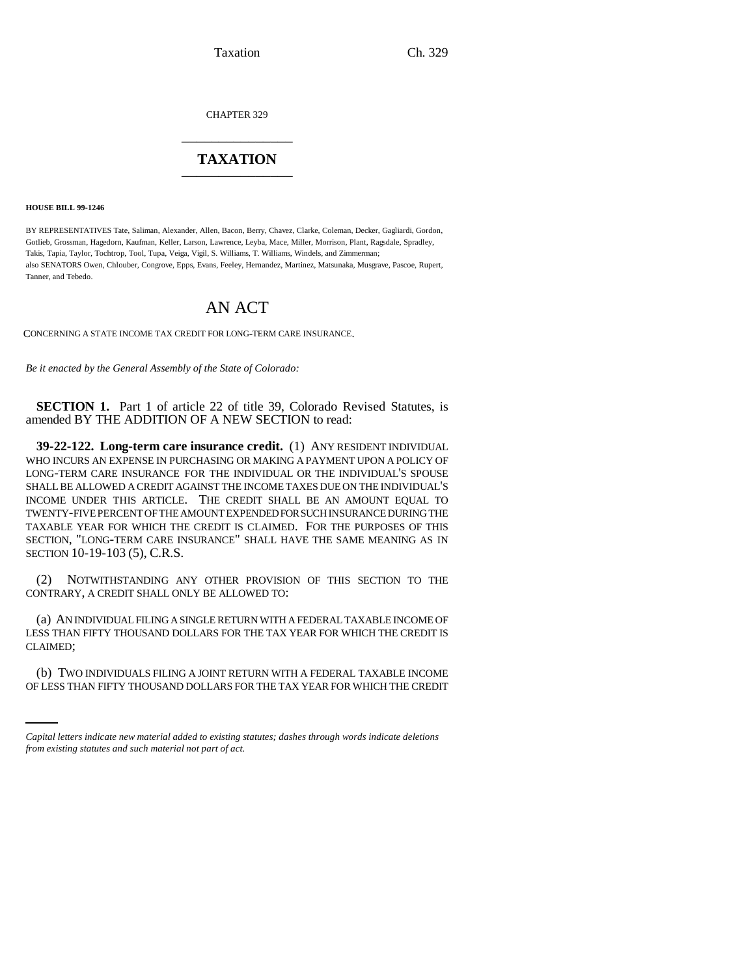Taxation Ch. 329

CHAPTER 329 \_\_\_\_\_\_\_\_\_\_\_\_\_\_\_

## **TAXATION** \_\_\_\_\_\_\_\_\_\_\_\_\_\_\_

**HOUSE BILL 99-1246** 

BY REPRESENTATIVES Tate, Saliman, Alexander, Allen, Bacon, Berry, Chavez, Clarke, Coleman, Decker, Gagliardi, Gordon, Gotlieb, Grossman, Hagedorn, Kaufman, Keller, Larson, Lawrence, Leyba, Mace, Miller, Morrison, Plant, Ragsdale, Spradley, Takis, Tapia, Taylor, Tochtrop, Tool, Tupa, Veiga, Vigil, S. Williams, T. Williams, Windels, and Zimmerman; also SENATORS Owen, Chlouber, Congrove, Epps, Evans, Feeley, Hernandez, Martinez, Matsunaka, Musgrave, Pascoe, Rupert, Tanner, and Tebedo.

## AN ACT

CONCERNING A STATE INCOME TAX CREDIT FOR LONG-TERM CARE INSURANCE.

*Be it enacted by the General Assembly of the State of Colorado:*

**SECTION 1.** Part 1 of article 22 of title 39, Colorado Revised Statutes, is amended BY THE ADDITION OF A NEW SECTION to read:

**39-22-122. Long-term care insurance credit.** (1) ANY RESIDENT INDIVIDUAL WHO INCURS AN EXPENSE IN PURCHASING OR MAKING A PAYMENT UPON A POLICY OF LONG-TERM CARE INSURANCE FOR THE INDIVIDUAL OR THE INDIVIDUAL'S SPOUSE SHALL BE ALLOWED A CREDIT AGAINST THE INCOME TAXES DUE ON THE INDIVIDUAL'S INCOME UNDER THIS ARTICLE. THE CREDIT SHALL BE AN AMOUNT EQUAL TO TWENTY-FIVE PERCENT OF THE AMOUNT EXPENDED FOR SUCH INSURANCE DURING THE TAXABLE YEAR FOR WHICH THE CREDIT IS CLAIMED. FOR THE PURPOSES OF THIS SECTION, "LONG-TERM CARE INSURANCE" SHALL HAVE THE SAME MEANING AS IN SECTION 10-19-103 (5), C.R.S.

(2) NOTWITHSTANDING ANY OTHER PROVISION OF THIS SECTION TO THE CONTRARY, A CREDIT SHALL ONLY BE ALLOWED TO:

(a) AN INDIVIDUAL FILING A SINGLE RETURN WITH A FEDERAL TAXABLE INCOME OF LESS THAN FIFTY THOUSAND DOLLARS FOR THE TAX YEAR FOR WHICH THE CREDIT IS CLAIMED;

(b) TWO INDIVIDUALS FILING A JOINT RETURN WITH A FEDERAL TAXABLE INCOME OF LESS THAN FIFTY THOUSAND DOLLARS FOR THE TAX YEAR FOR WHICH THE CREDIT

*Capital letters indicate new material added to existing statutes; dashes through words indicate deletions from existing statutes and such material not part of act.*